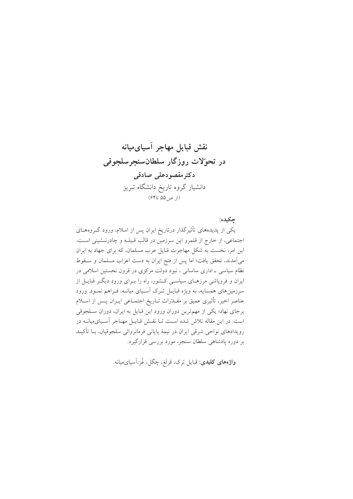حكىدە:

یکی از پدیدههای تأثیرگذار درتاریخ ایران پس از اسلام، ورود گــروههــای اجتماعی، از خارج از قلمرو این سرزمین در قالب قبیلـه و چادرنـشینی اسـت. این امر، نخست به شکل مهاجرت قبایل عرب مسلمان، که برای جهاد به ایران میآمدند، تحقق یافت؛ اما پس از فتح ایران به دست اعراب مسلمان و سـقوط نظام سیاسی ـ اداری ساسانی ، نبود دولت مرکزی در قرون نخستین اسلامی در ایران و فروپاشی مرزهـای سیاسـی کـشور، راه را بــرای ورود دیگــر قبایــل از سرزمینهای همسایه، به ویژه قبایـل تـرک آسـیای میانــه، فــراهم نمــود. ورود عناصر اخیر، تأثیری عمیق بر مقــدّرات تــاریخ اجتمــاعی ایــران پــس از اســلام برجای نهاد؛ یکی از مهمترین دوران ورود این قبایل به ایران، دوران سـلجوقی است. در این مقاله تلاش شده است تـا نقـش قبایـل مهـاجر آسـیایمیانـه در رویدادهای نواحی شرقی ایران در نیمهٔ پایانی فرمانروائی سلجوقیان، بـا تأکیـد بر دوره پادشاهی سلطان سنجر، مورد بررسی قرارگیرد.

**واژەهای کلیدی**: قبایل ترک، قرلغ، چگل، غُز،آسیای میانه.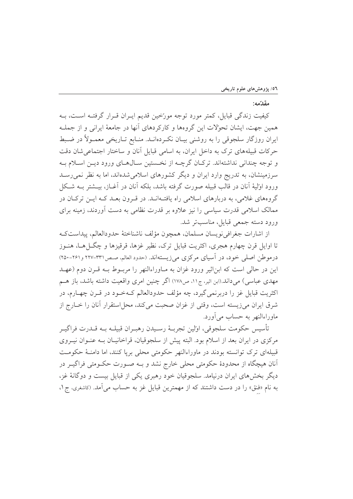## مقدّمه:

کیفیت زندگی قبایل، کمتر مورد توجه مورّخین قدیم ایـران قـرار گرفتــه اســت، بــه همین جهت، ایشان تحوُلات این گروهها و کارکردهای آنها در جامعهٔ ایرانی و از جملـه ایران روزگار سلجوقی را به روشنی بیـان نکـردهانــد. منــابع تــاریخی معمــولاً در ضــبط حرکات قبیلههای ترک به داخل ایران، به اسامی قبایل آنان و ساختار اجتماعی شان دقت و توجه چندانی نداشتهاند. ترکـان گرچــه از نخـستین سـالهـای ورود دیــن اسـلام بــه سرزمینشان، به تدریج وارد ایران و دیگر کشورهای اسلامیشدهاند، اما به نظر نمی رسـد ورود اوليهٔ أنان در قالب قبيله صورت گرفته باشد، بلكه أنان در أغــاز، بيــشتر بــه شــكل گروههای غلامی، به دربارهای اسلامی راه یافتـهانــد. در قــرون بعــد کــه ایــن ترکــان در ممالک اسلامی قدرت سیاسی را نیز علاوه بر قدرت نظامی به دست آوردند، زمینه برای ورود دسته جمعي قبايل، مناسبتر شد.

از اشارات جغرافي نويسان مسلمان، همچون مؤلف ناشناختهٔ حدودالعالم، پيداستكه تا اوایل قرن چهارم هجری، اکثریت قبایل ترک، نظیر غزها، قرقیزها و چگـــل(هــا، هنــوز درموطن اصلي خود، در اَسياي مركزي مي زيستهاند. (حدود العالم، صص١٣١-٢٢٧ و٢١٥٠-٢٥٠) این در حالی است که ابن|ثیر ورود غزان به مـاوراءالنهر را مربـوط بـه قـرن دوم (عهـد مهدی عباسی) میداند.(ابن اثیر، ج۱۱، ص۱۷۸) اگر چنین امری واقعیت داشته باشد، باز هــم اکثریت قبایل غز را دربرنمیگیرد، چه مؤلف حدودالعالم کـهخـود در قـرن چهـارم، در شرق ايران ميزيسته است، وقتى از غزان صحبت ميكند، محل استقرار آنان را خــارج از ماوراءالنهر به حساب مي آورد.

تأسيس حكومت سلجوقي، اولين تجربــهٔ رســيدن رهبــران قبيلــه بــه قــدرت فراگيــر مرکزی در ایران بعد از اسلام بود. البته پیش از سلجوقیان، قراخانیـان بــه عنـوان نیــروی قبیلهای ترک توانسته بودند در ماوراءالنهر حکومتی محلی برپا کنند، اما دامنـهٔ حکومـت آنان هیچگاه از محدودهٔ حکومتی محلی خارج نشد و بـه صـورت حکـومتی فراگیــر در دیگر بخشهای ایران درنیامد. سلجوقیان خود رهبری یکی از قبایل بیست و دوگانهٔ غز، به نام «فنق» را در دست داشتند که از مهمترین قبایل غز به حساب می آمد. (کاشغری، ج ۱،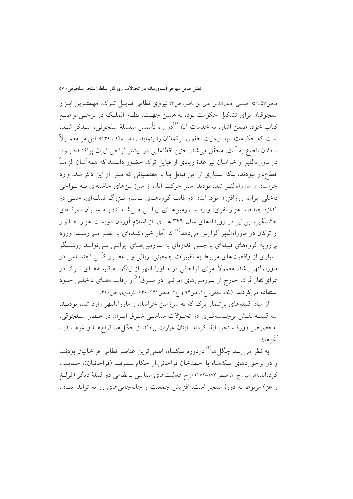صص٥٧ـــــ89 حسيني، صدرالدين على بن ناصر، ص٣) نيروي نظامي قبايــل تــرك، مهمتــرين ابــزار سلجوقیان برای تشکیل حکومت بود، به همین جهـت، نظـام الملـک در برخــی،مواضــع کتاب خود، ضمن اشاره به خدمات آنان<sup>(۱)</sup>در راه تأسیس سلسلهٔ سلجوقی، متـذکر شـده است که حکومت باید رعایت حقوق ترکمانان را بنماید (نظام الملک، ۱۳۹)؛ این|مر معمـولاً با دادن اقطاع به آنان، محقَّق می شد. چنین اقطاعاتی در بیشتر نواحی ایران پراکنــده بــود. در ماوراءالنهر و خراسان نیز عدهٔ زیادی از قبایل ترک حضور داشتند که همهآنــان الزامــاً اقطاعدار نبودند، بلکه بسیاری از این قبایل بنا به مقتضیاتی که پیش از این ذکر شد، وارد خراسان و ماوراءالنهر شده بودند. سیر حرکت آنان از سرزمینهای حاشیهای بـه نــواحی داخلی ایران، روزافزون بود. اینان در قالب گروههــای بــسیار بــزرگ قبیلــهای، حتــی در اندازهٔ چندصد هزار نفری، وارد سـرزمینهـای ایرانـی مـی شـدند؛ بـه عنـوان نمونـهای چشمگیر، ابن اثیر در رویدادهای سال ۳۴۹ هـ .ق. از اسلام آوردن دویست هزار خـانوار از ترکان در ماوراءالنهر گزارش میدهد<sup>(۲)</sup> که آمار خیرهکنندهای به نظـر مــیرســد. ورود بی رویهٔ گروههای قبیلهای با چنین اندازهای به سرزمینهـای ایرانــی مــی توانــد روشــنگر بسیاری از واقعیتهای مربوط به تغییرات جمعیتی، زبانی و بـهطـور کلّـی اجتمـاعی در ماوراءالنهر باشد. معمولاً امرای قراخانی در مــاوراءالنهر از اینگونــه قبیلــههــای تــرک در غزای کفار تُرک خارج از سرزمینهای ایرانـی در شــرق<sup>(۳)</sup> و رقابــتهــای داخلــی خــود استفاده می کردند. (نک: بیهقی، ج۱، ص۹۴ و ج۲، صص۱۶۴۱-۶۴۰؛ گردیزی، ص ۴۱۰)

از میان قبیلههای پر شمار ترک که به سرزمین خراسان و ماوراءالنهر وارد شده بودنـد، سه قبیلـه نقـش برجـستهتـری در تحـوّلات سیاسـی شـرق ایـران در عـصر سـلجوقی، بهخصوص دورهٔ سنجر، ایفا کردند. اینان عبارت بودند از چگل ها، قرلغهـا و غزهـا (یـا اُغُ: ها).

به نظر می رسد چگل ها<sup>۴)</sup> دردوره ملکشاه، اصلی ترین عناصر نظامی قراخانیان بودنــد و در برخوردهای ملکشاه با احمدخان قراخانی،از حکام سمرقند (قراخانیان)، حمایت کردهاند.(ابناثیر، ج۱۰، صص۱۷۳-۱۷۲) اوج فعالیتهای سیاسی ــ نظامی دو قبیلهٔ دیگر (قرلـغ و غز) مربوط به دورهٔ سنجر است. افزایش جمعیت و جابهجایی های رو به تزاید اینـان،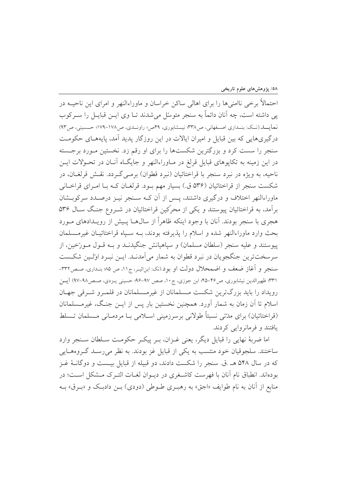احتمالاً برخی ناامنیها را برای اهالی ساکن خراسان و ماوراءالنهر و امرای این ناحیــه در يي داشته است، چه آنان دائماً به سنجر متوسّل مي شدند تــا وي ايــن قبايــل را ســركوب نعایسد.(نسک: بنسداری اصسفهانی، ص۳۳۸؛ نیسشابوری، ۴۹ص؛ راونسدی، ص۱۷۸-۱۷۹؛ حسسینی، ص۹۳) درگیریهایی که بین قبایل و امیران ایالات در این روزگار یدید آمد، پایههـای حکومـت سنجر را سست کرد و بزرگترین شکستها را برای او رقم زد. نخستین مـورد برجـسته در این زمینه به تکاپوهای قبایل قرلغ در مـاوراءالنهر و جایگـاه آنـان در تحـولات ایـن ناحیه، به ویژه در نبرد سنجر با قراختائیان (نبرد قطوان) برمــیگــردد. نقــش قرلغــان، در شکست سنجر از قراختائیان (۵۳۶ ق.) بسیار مهم بود. قرلغـان کـه بـا امـرای قراخـانی ماوراءالنهر اختلاف و درگیری داشتند، پـس از آن کــه ســنجر نیــز درصــدد سرکوبــشان برآمد، به قراختائیان پیوستند و یکی از محرّکین قراختائیان در شـروع جنگ سـال ۵۳۶ هجری با سنجر بودند. آنان با وجود اینکه ظاهراً از سال۵حا پـیش از رویـدادهای مـورد بحث وارد ماوراءالنهر شده و اسلام را يذيرفته بودند، بــه سـياه قراختائيــان غيرمــسلمان پیوستند و علیه سنجر (سلطان مسلمان) و سیاهیانش جنگیدنــد و بــه قــول مــورّخین، از سرسخت ترين جنگجويان در نيرد قطوان به شمار مي آمدنـد. ايــن نيـرد اوّلـين شكـست سنجر و آغاز ضعف و اضمحلال دولت او بود.(نک: ابناثیـر، ج۱۱، ص ۸۵؛ بنـداری، صـص۳۳۲-٣٣١؛ ظهيرالدين نيشابوري، ص٣٤-٢٥؛ ابن جوزي، ج١٠، صص ٩٧-٩۶؛ حسيني يــزدي، صـص٩٨-٩٧) ايــن رویداد را باید بزرگترین شکست مـسلمانان از غیرمـسلمانان در قلمـرو شـرقی جهـان اسلام تا آن زمان به شمار آورد. همچنین نخستین بار پس از ایــن جنـگ، غیرمــسلمانان (قراختائیان) برای مدّتی نسبتاً طولانی برسرزمینی اسلامی بــا مردمــانی مــسلمان تــسلط یافتند و فرمانروایی کردند.

اما ضربهٔ نهایی را قبایل دیگر، یعنی غـزان، بـر پیکـر حکومـت سـلطان سـنجر وارد ساختند. سلجوقيان خود منتسب به يكي از قبايل غز بودند. به نظر مي رسـد گـروههـايي که در سال ۵۴۸ هـ .ق. سنجر را شکست دادند، دو قبیله از قبایل بیـست و دوگانــهٔ غــز بودهاند. انطباق نام آنان با فهرست كاشـغرى در ديـوان لغــات التـرك مــشكل اســت؛ در منابع از آنان به نام طوايف «اجق» به رهبـري طـوطي (دودي) بـن دادبـک و «بـرق» بـه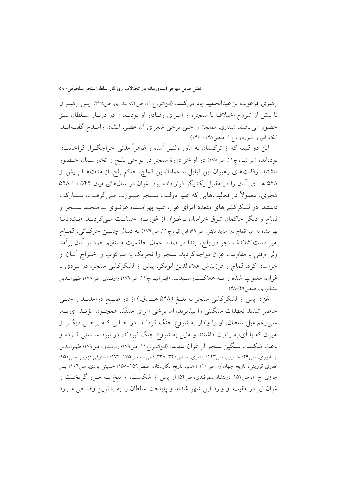رهبري قرغوت بن عبدالحميد ياد مي كنند، (ابناثير، ج١١، ص٨٢؛ بنداري، ص٣٣٨) ايس رهبـران تا پیش از شروع اختلاف با سنجر، از امـرای وفـادار او بودنــد و در دربــار سـلطان نيــز حضور می یافتند (بنداری، همانجا) و حتی برخی شعرای آن عصر، ایشان رامـدح گفتـهانـد. (نک: انوري ابيوردي، ج ١، صص١٤٨ - ١٤٤)

این دو قبیله که از ترکستان به ماوراءالنهر آمده و ظاهراً مدتی خراجگـزار قراخانیــان بودهاند، (ابناثیـر، ج١١، ص١٧٨) در اواخر دورهٔ سنجر در نواحی بلـخ و تخارسـتان حـضور داشتند. رقابتهای رهبران این قبایل با عمادالدین قماج، حاکم بلخ، از مدتهـا پـیش از ۵۴۸ هـ .ق. آنان را در مقابل یکدیگر قرار داده بود. غزان در سال های میان ۵۴۴ تــا ۵۴۸ هجري، معمولاً در فعاليتهايي كه عليه دولـت سـنجر صـورت مـي گرفـت، مــشاركت داشتند. در لشکرکشیهای متعدد امرای غور، علیه بهرامـشاه غزنــوی ـــ متحــد ســنجر و قماج و دیگر حاکمان شرق خراسان \_ غـزان از غوریـان حمایـت مـی کردنـد. (نـک: نامـهٔ بھرامشاہ به امیر قماج در: مؤید ثابتی، ص۹٪ ابن اثیر، ج۱۱، ص۱۷۹) به دنبال چنسین حرکےاتی، قمساج امیر دست نشاندهٔ سنجر در بلخ، ابتدا در صدد اعمال حاکمیت مستقیم خود بر آنان برآمد ولی وقتی با مقاومت غزان مواجهگردید، سنجر را تحریک به سرکوب و اخـراج آنــان از خراسان کرد. قماج و فرزندش علاءالدین ابوبکر، پیش از لشکرکشی سنجر، در نبردی با غزان، مغلوب شده و بــه هلاكــتـرســيدند. (ابـناثيـر،ج١١، ص١٧٩؛ راونـدي، ص١٧٨؛ ظهيرالـدين نیشابوری، صص۱۴۸-۴۸)

غزان پس از لشکرکشی سنجر به بلـخ (۵۴۸ هـــ .ق.) از در صـلح درآمدنــد و حتـــ ٍ حاضر شدند تعهدات سنگینی را بپذیرند، اما برخی امرای متنفّذ، همچـون مؤیّـد آیابـه، علي رغم ميل سلطان، او را وادار به شروع جنگ كردنـد. در حـالي كـه برخـي ديگـر از امیران که با آیابه رقابت داشتند و مایل به شروع جنگ نبودند، در نبرد سـستی کـرده و باعث شكست سنگين سنجر از غزان شدند. (ابناثيـر،ج١١، ص١٧٩؛ راونـدي، ص١٧٩؛ ظهيرالـدين نیشابوری، ص۹۹؛ حسینی، ص۱۲۳؛ بنداری، صص ۳۴۰-۳۳۸؛ قمی، صص ۱۷۵-۱۷۴؛ مستوفی قزوینی،ص ۴۵۱؛ غفاری قزوینی، تاریخ جهانآرا، ص١١٠؛ همو، تاریخ نگارستان، صص1۵۹–۱۵۸؛ حسینی یزدی، ص۱۰۴؛ ابـن جوزی، ج۱۰، ص۱۵۲؛ دولتشاه سمرقندی، ص۵۴) او پس از شکست، از بلخ بـه مـرو گریخـت و غزان نیز درتعقیب او وارد این شهر شدند و پایتخت سلطان را به بدترین وضـعی مـورد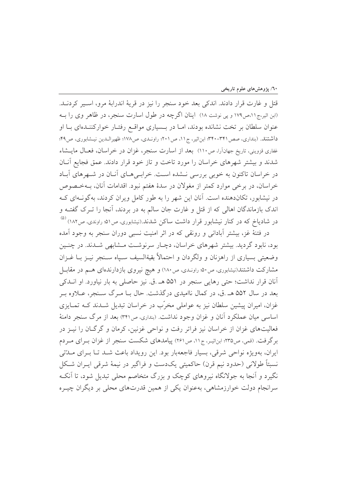قتل و غارت قرار دادند. اندکی بعد خود سنجر را نیز در قریهٔ اندرابهٔ مرو، اسپر کردنــد. (ابن اثیر،ج۱۱،ص۱۷۹ و پی نوشت ۱۸) اینان اگرچه در طول اسارت سنجر، در ظاهر وی را بـه عنوان سلطان بر تخت نشانده بودند، امـا در بـسیاری مواقـع رفتـار خوارکننـدهای بـا او داشتند. (بنداری، صص ۳۴۱-۳۴۰؛ ابن اثیر، ج۱۱، ص ۲۰۱؛ راونـدی، ص۱۷۸؛ ظهیرالـدین نیـشابوری، ص ۴۹؛ غفاري قزويني، تاريخ جهانآرا، ص١١٠) بعد از اسارت سنجر، غزان در خراسان، فعــال مايــشاء شدند و بیشتر شهرهای خراسان را مورد تاخت و تاز خود قرار دادند. عمق فجایع آنان در خراسان تاکنون به خوبی بررسی نـشده اسـت. خرابـی هـای آنـان در شـهرهای آبـاد خراسان، در برخی موارد کمتر از مغولان در سدهٔ هفتم نبود. اقدامات آنان، بـهخـصوص در نیشابور، تکاندهنده است. آنان این شهر را به طور کامل ویران کردند، بهگونــهای کــه اندک بازماندگان اهالی که از قتل و غارت جان سالم به در بردند، آنجا را تــرک گفتــه و در شادیاخ که در کنار نیشابور قرار داشت ساکن شدند.(نیشابوری، ص۵۱؛ راوندی، ص۱۸۲) <sup>(۵)</sup>

در فتنهٔ غز، بیشتر آبادانی و رونقی که در اثر امنیت نسبی دوران سنجر به وجود آمده بود، نابود گردید. بیشتر شهرهای خراسان، دچـار سرنوشـت مـشابهی شـدند. در چنـین وضعيتي بسياري از راهزنان و ولگردان و احتمالاً بقيةالسيف سـياه سـنجر نيـز بــا غــزان مشارکت داشتند(نیشابوری، ص۵۰ راونـدی، ص۱۸۰) و هیچ نیروی بازدارندهای هــم در مقابــل آنان قرار نداشت؛ حتى رهايي سنجر در ۵۵۱ هـ .ق. نيز حاصلي به بار نياورد. او انــدكي بعد در سال ۵۵۲ هـ .ق، در کمال ناامیدی درگذشت. حال بـا مـرگ سـنجر، عــلاوه بـر غزان، امیران پیشین سلطان نیز به عواملی مخرّب در خراسان تبدیل شـدند کــه تمـایزی اساسی میان عملکرد آنان و غزان وجود نداشت. (بنداری ص۳۴۱) بعد از مرگ سنجر دامنهٔ فعالیتهای غزان از خراسان نیز فراتر رفت و نواحی غزنین، کرمان و گرگـان را نیــز در بر گرفت. (قمی، ص۳۳۵؛ این|ثیـر، ج۱۱، ص۲۶۱) پیامدهای شکست سنجر از غزان بـرای مـردم ایران، بهویژه نواحی شرقی، بسیار فاجعهبار بود. این رویداد باعث شـد تـا بـرای مـدّتی نسبتاً طولاني (حدود نيم قرن) حاكميتي يكدست و فراگير در نيمهٔ شرقي ايـران شـكل نگیرد و آنجا به جولانگاه نیروهای کوچک و بزرگ متخاصم محلی تبدیل شود، تا آنکـه سرانجام دولت خوارزمشاهی، بهعنوان یکی از همین قدرتهای محلی بر دیگران چیــره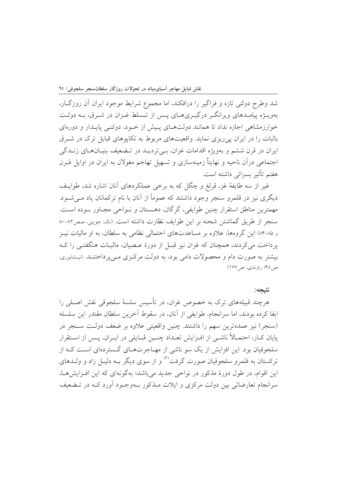شد وطرح دولتی تازه و فراگیر را درافکند، اما مجموع شرایط موجود ایران آن روزگـار، بهویــژه پیامــدهای ویرانگــر درگیــریهــای پــس از تــسلط غــزان در شــرق، بــه دولــت خوارزمشاهی اجازه نداد تا همانند دولتهای پیش از خـود، دولتـی پایـدار و دورهای باثبات را در ایران یی ریزی نماید. واقعیتهای مربوط به تکایوهای قبایل ترک در شـرق ايران در قرن ششم و بهويژه اقدامات غزان، بـي ترديــد در تـضعيف بنيــانهــاي زنــدگي اجتماعی درآن ناحیه و نهایتاً زمینهسازی و تسهیل تهاجم مغولان به ایران در اوایل قــرن هفتم تأثير بسزائي داشته است.

غیر از سه طایفهٔ غز، قرلغ و چگل که به برخی عملکردهای آنان اشاره شد، طوایف دیگری نیز در قلمرو سنجر وجود داشتند که عموماً از آنان با نام ترکمانان یاد مے شـود. مهمترين مناطق استقرار چنين طوايفي، گرگان، دهـستان و نـواحي مجـاور بـوده اسـت. سنجر از طريق گماشتن شحنه بر اين طوايف نظارت داشته است. (نک: جويني، صص٨٢-٨٠ و ۸۵-۸۴) این گروهها، علاوه بر مساعدتهای احتمالی نظامی به سلطان، به او مالیات نیـز یرداخت می کردند، همچنان که غزان نیز قبـل از دورهٔ عـصیان، مالیـات هنگفتـی را کـه پیشتر په صورت دام و محصولات دامې پود، په دولت مرکبزي مېږيږداختنید. (نیشابوري، ص ۴۸؛ راوندي، ص ۱۷۷)

## نتىحە:

هرچند قبیلههای ترک به خصوص غزان، در تأسیس سلسهٔ سلجوقی نقش اصـلی را ايفا كرده بودند، اما سرانجام، طوايفي از آنان، در سقوط آخرين سلطان مقتدر اين سلسله (سنجر) نیز عمدهترین سهم را داشتند. چنین واقعیتی علاوه بر ضعف دولت سـنجر در پایان کـار، احتمـالاً ناشـی از افـزایش تعـداد چنـین قبـایلی در ایـران، پـس از اسـتقرار سلجوقیان بود. این افزایش از یک سو ناشی از مهـاجرتهـای گـستردهای اسـت کـه از ترکستان به قلمرو سلجوقیان صورت گرفت<sup>(۶)</sup> و از سوی دیگر بــه دلیــل زاد و ولــدهای این اقوام، در طول دورهٔ مذکور در نواحی جدید می باشد؛ بهگونهای که این افـزایش هـا، سرانجام تعارضاتی بین دولت مرکزی و ایلات مــذکور بــهوجــود أورد کــه در تــضعیف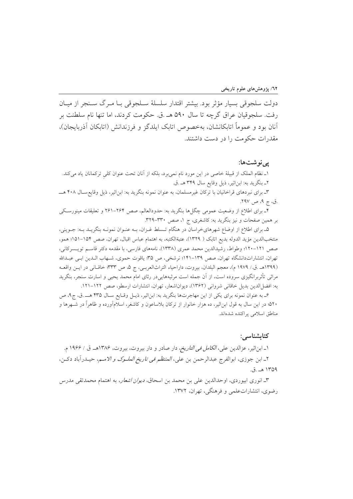دولت سلجوقی بسیار مؤثر بود. بیشتر اقتدار سلسلهٔ ســلجوقی بــا مــرگ ســنجر از میــان رفت. سلجوقيان عراق گرچه تا سال ۵۹۰ هـ .ق. حكومت كردند، اما تنها نام سلطنت بر آنان بو د و عموماً اتابکانشان، بهخصوص اتابک ایلدگز و فرزندانش (اتابکان آذربایجان)، مقدرات حکومت را در دست داشتند.

## یے نو شتھا:

١\_ نظام الملك از قبيلهٔ خاصي در اين مورد نام نمي برد، بلكه از آنان تحت عنوان كلي تركمانان ياد مي كند. ٢\_ بنگريد به: ابن اثير، ذيل وقايع سال ٣۴٩ هـ.ق.

۳ـ برای نبردهای قراخانیان با ترکان غیرمسلمان، به عنوان نمونه بنگرید به: ابن|ثیر، ذیل وقایع سـال ۴۰۸ هـــ .ق، ج ۹، ص ۲۹۷.

۴ـ برای اطلاع از وضعیت عمومی چگلها بنگرید به: حدودالعالم، صص ۲۶۴–۲۶۱ و تعلیقات مینورسکی بر همین صفحات و نیز بنگرید به: کاشغری، ج ۱، صص ۳۳۰–۳۲۹.

۵ـ برای اطلاع از اوضاع شهرهایخراسان در هنگام تـسلط غـزان، بــه عنــوان نمونــه بنگریــد بــه: جــوینی، منتخبالدين مؤيد الدوله بديع اتابک ( ١٣٢٩)، عتبةالکتبه، به اهتمام عباس اقبال، تهران، صص ١٥۴–١٥١؛ همو، صص ١٢١-١٢٠؛ وطواط، رشيدالدين محمد عمري (١٣٣٨)، نامههاي فارسي، با مقدمه دكتر قاسم تويسيركاني، تهران، انتشاراتدانشگاه تهران، صص ١٣٩–١٤١: نرشخي، ص ٣۵؛ ياقوت حموي، شـهاب الـدين ابـي عبـدالله (١٣٩٩هـ .ق./ ١٩٧٩ م)، معجم البلدان، بيروت، داراحياء التراثالعربـي، ج ۵، ص ٣٣٣؛ خاقـاني در ايـن واقعـه مراثی تأثربرانگیزی سروده است، از آن جمله است مرثیههاییدر رثای امام محمد یحیی و اسارت سنجر، بنگرید به: افضل الدين بديل خاقاني شرواني (١٣۶٢)، ديوان اشعار، تهران، انتشارات ارسطو، صص ١٢٢-١٢١.

ع\_به عنوان نمونه براي يكي از اين مهاجرتها بنگريد به: ابن اثير، ذيـل وقـايع سـال ۴۳۵ هـ\_ .ق، ج۹، ص ۵۲۰؛ در این سال به قول ابن|ثیر، ده هزار خانوار از ترکان بلاساعون و کاشغر، اسلامآورده و ظاهراً در شــهرها و مناطق اسلامی پراکنده شدهاند.

## كتابشناسى:

۱ــ ابناثير، عزالدين علي، *الكامل في التاريخ*، دار صادر و دار بيروت، بيروت، ۱۳۸۶هــ ق / ۱۹۶۶ م. ٢ـ ابن جوزي، ابوالفرج عبدالرحمن بن علي، *المنتظم في تاريخ الملــوک و الامــم*، حيــدرآباد دکــن، ۱۳۵۹ هـ .ق.

٣ـ انوري ابيوردي، اوحدالدين علي بن محمد بن اسحاق، *ديوان اشعار*، به اهتمام محمدتقى مدرس رضوی، انتشاراتعلمی و فرهنگی، تهران، ۱۳۷۲.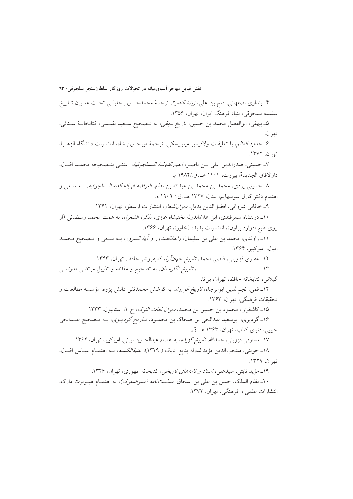۴ـ بنداري اصفهاني، فتح بن علي، *زبدة النصرة*، ترجمهٔ محمدحسين جليلـي تحـت عنـوان تــاريخ سلسله سلجوقي، بنياد فرهنگ ايران، تهران، ۱۳۵۶. ۵ـ بیهقی، ابوالفضل محمد بن حسین، *تاریخ بیهقی*، به تـصحیح سـعید نفیـسی، کتابخانــهٔ سـنائی، تھر ان. ع حدود العالم، با تعليقات ولاديمير مينورسكي، ترجمة ميرحسين شاه، انتشارات دانشگاه الزهرا، تھ ان، ١٣٧٢. ٧ـ حسيني، صدرالدين على بــن ناصـر، *اخبارالدولــة الــسلجوقية*، اعتنــى بتــصحيحه محمــد اقبــال، دارالافاق الجديدة، بيروت، ١۴٠۴ هـ .ق./١٩٨۴ م. ٨ـ حسيني يزدي، محمد بن محمد بن عبدالله بن نظام، *العراضة في الحكاية الـسلجوقية*، بــه ســع<sub>،</sub> و اهتمام دكتر كارل سوسهايم، ليدن، ١٣٢٧ هـ .ق./ ١٩٠٩ م. ۹\_ خاقاني شرواني، افضا الدين بديل، *ديواناشعار*، انتشارات ارسطو، تهران، ۱۳۶۲. ۱۰ـ دولتشاه سمرقندي، ابن علاءالدوله بختيشاه غازي، *تذكرة الشعراء*، به همت محمد رمـضاني (از روی طبع ادوارد براون)، انتشارات پدیده (خاور)، تهران، ۱۳۶۶. ١١ـ راوندي، محمد بن علي بن سليمان، *راحةالصدور و آية السرور*، بــه ســعي و تــصحيح محمــد اقبال، اميركبير، ۱۳۶۴. ۱۲ـ غفاری قزوینی، قاضی احمد، ت*اریخ جهانآرا*، کتابفروشیحافظ، تهران، ۱۳۴۳. گيلاني، كتابخانه حافظ، تهران، بي تا. ۱۴ـ قمي، نجمالدين ابوالرجاء، *تاريخ الوزراء*، به كوشش محمدتقى دانش پژوه، مؤسسه مطالعات و تحقيقات فرهنگي، تهران، ١٣۶٣. ۱۵ـ كاشغرى، محمود بن حسين بن محمد، *ديوان لغات الترك*، ج ١، استانبول. ١٣٣٣. ۱۶ـ گردیزی، ابوسعید عبدالحی بن ضحاک بن محمـود، *تـاریخ گردیـزی*، بـه تـصحیح عبـدالحی حبیبی، دنیای کتاب، تهران، ۱۳۶۳ هـ .ق. ۱۷ـ مستوفی قزوینی، حمدالله، *تاریخ گزیده*، به اهتمام عبدالحسین نوائی، امیرکبیر، تهران، ۱۳۶۲. ١٨ـ جويني، منتخبالدين مؤيدالدوله بديع اتابک ( ١٣٢٩)، *عتبةالكتبـه*، بــه اهتمــام عبــاس اقبــال، تف ان، ١٣٢٩. ۱۹\_ مؤيد ثابتي، سيدعلي، *اسناد و نامههاي تاريخي*، كتابخانه طهوري، تهران، ۱۳۴۶. ۲۰ـ نظام الملک، حسن بن علي بن اسحاق، *سياستنامه (سيرالملوک)*، به اهتمـام هيـوبرت دارک، انتشارات علمی و فرهنگی، تهران، ۱۳۷۲.